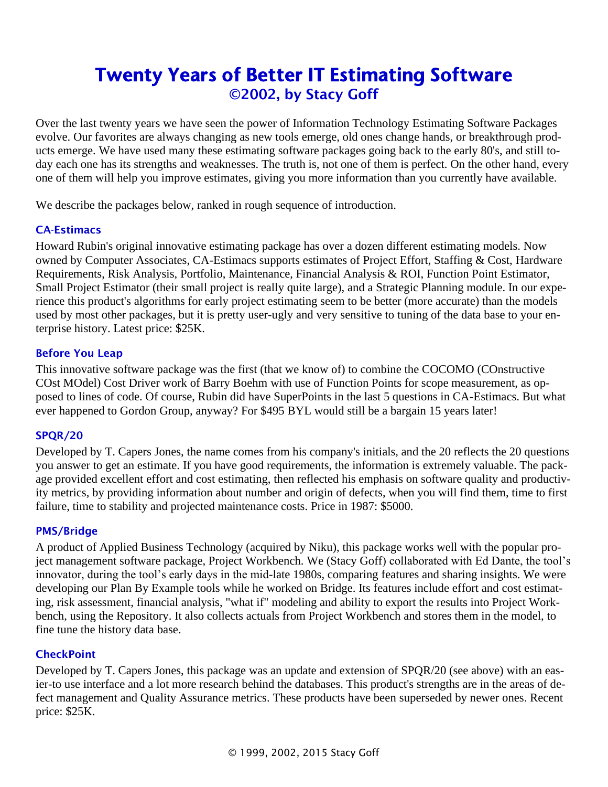# Twenty Years of Better IT Estimating Software ©2002, by Stacy Goff

Over the last twenty years we have seen the power of Information Technology Estimating Software Packages evolve. Our favorites are always changing as new tools emerge, old ones change hands, or breakthrough products emerge. We have used many these estimating software packages going back to the early 80's, and still today each one has its strengths and weaknesses. The truth is, not one of them is perfect. On the other hand, every one of them will help you improve estimates, giving you more information than you currently have available.

We describe the packages below, ranked in rough sequence of introduction.

# CA-Estimacs

Howard Rubin's original innovative estimating package has over a dozen different estimating models. Now owned by Computer Associates, CA-Estimacs supports estimates of Project Effort, Staffing & Cost, Hardware Requirements, Risk Analysis, Portfolio, Maintenance, Financial Analysis & ROI, Function Point Estimator, Small Project Estimator (their small project is really quite large), and a Strategic Planning module. In our experience this product's algorithms for early project estimating seem to be better (more accurate) than the models used by most other packages, but it is pretty user-ugly and very sensitive to tuning of the data base to your enterprise history. Latest price: \$25K.

# Before You Leap

This innovative software package was the first (that we know of) to combine the COCOMO (COnstructive COst MOdel) Cost Driver work of Barry Boehm with use of Function Points for scope measurement, as opposed to lines of code. Of course, Rubin did have SuperPoints in the last 5 questions in CA-Estimacs. But what ever happened to Gordon Group, anyway? For \$495 BYL would still be a bargain 15 years later!

## SPQR/20

Developed by T. Capers Jones, the name comes from his company's initials, and the 20 reflects the 20 questions you answer to get an estimate. If you have good requirements, the information is extremely valuable. The package provided excellent effort and cost estimating, then reflected his emphasis on software quality and productivity metrics, by providing information about number and origin of defects, when you will find them, time to first failure, time to stability and projected maintenance costs. Price in 1987: \$5000.

## PMS/Bridge

A product of Applied Business Technology (acquired by Niku), this package works well with the popular project management software package, Project Workbench. We (Stacy Goff) collaborated with Ed Dante, the tool's innovator, during the tool's early days in the mid-late 1980s, comparing features and sharing insights. We were developing our Plan By Example tools while he worked on Bridge. Its features include effort and cost estimating, risk assessment, financial analysis, "what if" modeling and ability to export the results into Project Workbench, using the Repository. It also collects actuals from Project Workbench and stores them in the model, to fine tune the history data base.

## **CheckPoint**

Developed by T. Capers Jones, this package was an update and extension of SPQR/20 (see above) with an easier-to use interface and a lot more research behind the databases. This product's strengths are in the areas of defect management and Quality Assurance metrics. These products have been superseded by newer ones. Recent price: \$25K.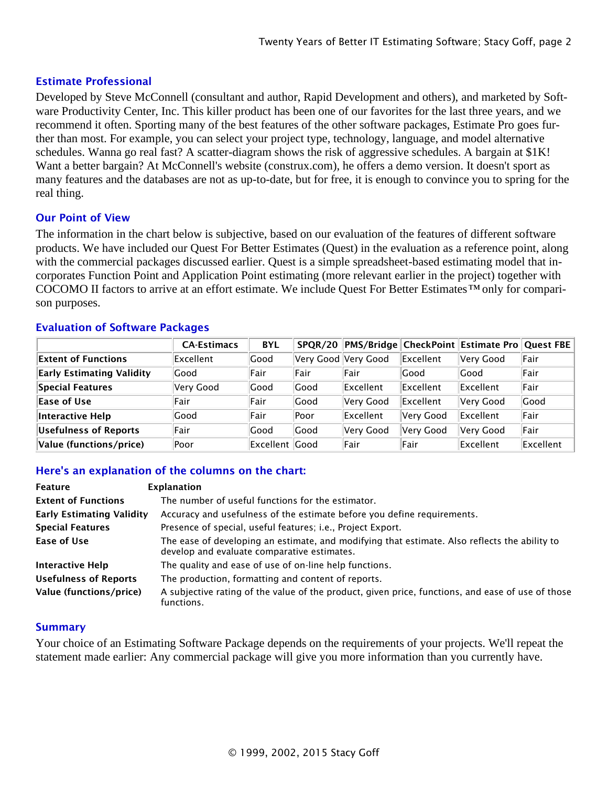## Estimate Professional

Developed by Steve McConnell (consultant and author, Rapid Development and others), and marketed by Software Productivity Center, Inc. This killer product has been one of our favorites for the last three years, and we recommend it often. Sporting many of the best features of the other software packages, Estimate Pro goes further than most. For example, you can select your project type, technology, language, and model alternative schedules. Wanna go real fast? A scatter-diagram shows the risk of aggressive schedules. A bargain at \$1K! Want a better bargain? At McConnell's website (construx.com), he offers a demo version. It doesn't sport as many features and the databases are not as up-to-date, but for free, it is enough to convince you to spring for the real thing.

#### Our Point of View

The information in the chart below is subjective, based on our evaluation of the features of different software products. We have included our Quest For Better Estimates (Quest) in the evaluation as a reference point, along with the commercial packages discussed earlier. Quest is a simple spreadsheet-based estimating model that incorporates Function Point and Application Point estimating (more relevant earlier in the project) together with COCOMO II factors to arrive at an effort estimate. We include Quest For Better Estimates*™* only for comparison purposes.

#### Evaluation of Software Packages

|                                  | <b>CA-Estimacs</b> | <b>BYL</b>       |                     |           |           | SPQR/20   PMS/Bridge   CheckPoint   Estimate Pro   Quest FBE |             |
|----------------------------------|--------------------|------------------|---------------------|-----------|-----------|--------------------------------------------------------------|-------------|
| <b>Extent of Functions</b>       | Excellent          | Good             | Very Good Very Good |           | Excellent | Very Good                                                    | Fair        |
| <b>Early Estimating Validity</b> | Good               | Fair             | Fair                | Fair      | Good      | Good                                                         | <b>Fair</b> |
| Special Features                 | Very Good          | Good             | Good                | Excellent | Excellent | Excellent                                                    | Fair        |
| Ease of Use                      | Fair               | Fair             | Good                | Very Good | Excellent | Very Good                                                    | <b>Good</b> |
| Interactive Help                 | Good               | Fair             | Poor                | Excellent | Very Good | Excellent                                                    | <b>Fair</b> |
| Usefulness of Reports            | Fair               | Good             | Good                | Very Good | Very Good | Very Good                                                    | <b>Fair</b> |
| Value (functions/price)          | Poor               | Excellent   Good |                     | Fair      | Fair      | Excellent                                                    | Excellent   |

#### Here's an explanation of the columns on the chart:

| Feature                          | Explanation                                                                                                                                  |
|----------------------------------|----------------------------------------------------------------------------------------------------------------------------------------------|
| <b>Extent of Functions</b>       | The number of useful functions for the estimator.                                                                                            |
| <b>Early Estimating Validity</b> | Accuracy and usefulness of the estimate before you define requirements.                                                                      |
| <b>Special Features</b>          | Presence of special, useful features; i.e., Project Export.                                                                                  |
| Ease of Use                      | The ease of developing an estimate, and modifying that estimate. Also reflects the ability to<br>develop and evaluate comparative estimates. |
| Interactive Help                 | The quality and ease of use of on-line help functions.                                                                                       |
| <b>Usefulness of Reports</b>     | The production, formatting and content of reports.                                                                                           |
| Value (functions/price)          | A subjective rating of the value of the product, given price, functions, and ease of use of those<br>functions.                              |

#### **Summary**

Your choice of an Estimating Software Package depends on the requirements of your projects. We'll repeat the statement made earlier: Any commercial package will give you more information than you currently have.